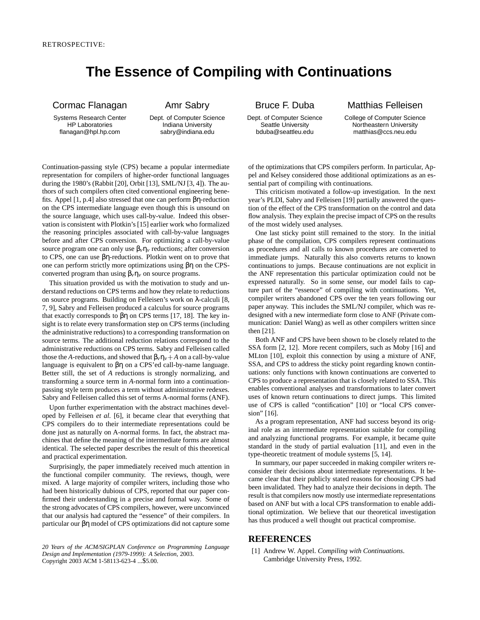## **The Essence of Compiling with Continuations**

## Cormac Flanagan

Systems Research Center HP Laboratories flanagan@hpl.hp.com

## Amr Sabry

Dept. of Computer Science Indiana University sabry@indiana.edu

Dept. of Computer Science Seattle University bduba@seattleu.edu

Bruce F. Duba

Matthias Felleisen College of Computer Science

Northeastern University

matthias@ccs.neu.edu

Continuation-passing style (CPS) became a popular intermediate representation for compilers of higher-order functional languages during the 1980's (Rabbit [20], Orbit [13], SML/NJ [3, 4]). The authors of such compilers often cited conventional engineering benefits. Appel [1, p.4] also stressed that one can perform βη-reduction on the CPS intermediate language even though this is unsound on the source language, which uses call-by-value. Indeed this observation is consistent with Plotkin's [15] earlier work who formalized the reasoning principles associated with call-by-value languages before and after CPS conversion. For optimizing a call-by-value source program one can only use  $\beta_v \eta_v$  reductions; after conversion to CPS, one can use βη-reductions. Plotkin went on to prove that one can perform strictly more optimizations using βη on the CPSconverted program than using  $β<sub>ν</sub>η<sub>ν</sub>$  on source programs.

This situation provided us with the motivation to study and understand reductions on CPS terms and how they relate to reductions on source programs. Building on Felleisen's work on λ-calculi [8, 7, 9], Sabry and Felleisen produced a calculus for source programs that exactly corresponds to  $βη$  on CPS terms [17, 18]. The key insight is to relate every transformation step on CPS terms (including the administrative reductions) to a corresponding transformation on source terms. The additional reduction relations correspond to the administrative reductions on CPS terms. Sabry and Felleisen called those the *A*-reductions, and showed that  $\beta_{\nu} \eta_{\nu} + A$  on a call-by-value language is equivalent to βη on a CPS'ed call-by-name language. Better still, the set of *A* reductions is strongly normalizing, and transforming a source term in *A*-normal form into a continuationpassing style term produces a term without administrative redexes. Sabry and Felleisen called this set of terms A-normal forms (ANF).

Upon further experimentation with the abstract machines developed by Felleisen *et al.* [6], it became clear that everything that CPS compilers do to their intermediate representations could be done just as naturally on A-normal forms. In fact, the abstract machines that define the meaning of the intermediate forms are almost identical. The selected paper describes the result of this theoretical and practical experimentation.

Surprisingly, the paper immediately received much attention in the functional compiler community. The reviews, though, were mixed. A large majority of compiler writers, including those who had been historically dubious of CPS, reported that our paper confirmed their understanding in a precise and formal way. Some of the strong advocates of CPS compilers, however, were unconvinced that our analysis had captured the "essence" of their compilers. In particular our βη model of CPS optimizations did not capture some

*20 Years of the ACM/SIGPLAN Conference on Programming Language Design and Implementation (1979-1999): A Selection,* 2003. Copyright 2003 ACM 1-58113-623-4 ...\$5.00.

of the optimizations that CPS compilers perform. In particular, Appel and Kelsey considered those additional optimizations as an essential part of compiling with continuations.

This criticism motivated a follow-up investigation. In the next year's PLDI, Sabry and Felleisen [19] partially answered the question of the effect of the CPS transformation on the control and data flow analysis. They explain the precise impact of CPS on the results of the most widely used analyses.

One last sticky point still remained to the story. In the initial phase of the compilation, CPS compilers represent continuations as procedures and all calls to known procedures are converted to immediate jumps. Naturally this also converts returns to known continuations to jumps. Because continuations are not explicit in the ANF representation this particular optimization could not be expressed naturally. So in some sense, our model fails to capture part of the "essence" of compiling with continuations. Yet, compiler writers abandoned CPS over the ten years following our paper anyway. This includes the SML/NJ compiler, which was redesigned with a new intermediate form close to ANF (Private communication: Daniel Wang) as well as other compilers written since then [21].

Both ANF and CPS have been shown to be closely related to the SSA form  $[2, 12]$ . More recent compilers, such as Moby  $[16]$  and MLton [10], exploit this connection by using a mixture of ANF, SSA, and CPS to address the sticky point regarding known continuations: only functions with known continuations are converted to CPS to produce a representation that is closely related to SSA. This enables conventional analyses and transformations to later convert uses of known return continuations to direct jumps. This limited use of CPS is called "contification" [10] or "local CPS conversion" [16].

As a program representation, ANF had success beyond its original role as an intermediate representation suitable for compiling and analyzing functional programs. For example, it became quite standard in the study of partial evaluation [11], and even in the type-theoretic treatment of module systems [5, 14].

In summary, our paper succeeded in making compiler writers reconsider their decisions about intermediate representations. It became clear that their publicly stated reasons for choosing CPS had been invalidated. They had to analyze their decisions in depth. The result is that compilers now mostly use intermediate representations based on ANF but with a local CPS transformation to enable additional optimization. We believe that our theoretical investigation has thus produced a well thought out practical compromise.

## **REFERENCES**

[1] Andrew W. Appel. *Compiling with Continuations*. Cambridge University Press, 1992.